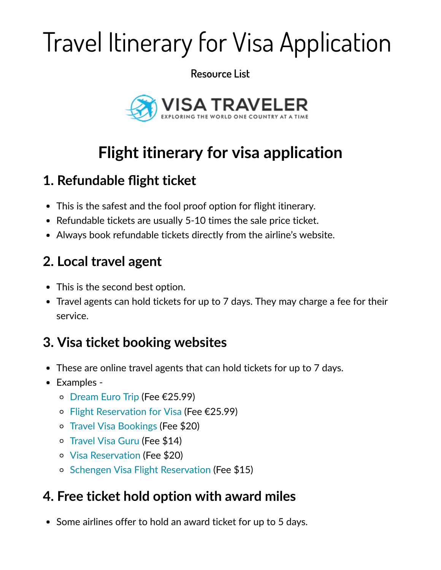# Travel Itinerary for Visa Application

**Resource List**



# **Flight itinerary for visa application**

#### **1. Refundable flight ticket**

- This is the safest and the fool proof option for flight itinerary.
- Refundable tickets are usually 5-10 times the sale price ticket.
- Always book refundable tickets directly from the airline's website.

# **2. Local travel agent**

- This is the second best option.
- Travel agents can hold tickets for up to 7 days. They may charge a fee for their service.

#### **3. Visa ticket booking websites**

- These are online travel agents that can hold tickets for up to 7 days.
- Examples -
	- [Dream Euro Trip](http://www.dreameurotrip.com/how-to-book-roundtrip-flight-itinerary-flight-reservation-for-visa-application/#flightorder) (Fee €25.99)
	- [Flight Reservation for Visa](http://www.flightreservationforvisa.com/) (Fee €25.99)
	- [Travel Visa Bookings](https://travelvisabookings.com/) (Fee \$20)
	- [Travel Visa Guru](https://travelvisaguru.com/price/) (Fee \$14)
	- [Visa Reservation](https://visareservation.com/) (Fee \$20)
	- o [Schengen Visa Flight Reservation](https://schengenvisaflightreservation.com/) (Fee \$15)

# **4. Free ticket hold option with award miles**

• Some airlines offer to hold an award ticket for up to 5 days.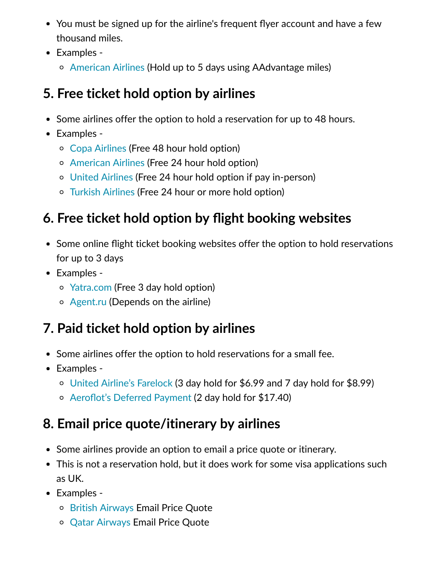- You must be signed up for the airline's frequent flyer account and have a few thousand miles.
- Examples -
	- [American Airlines](https://www.aa.com/) (Hold up to 5 days using AAdvantage miles)

# **5. Free ticket hold option by airlines**

- Some airlines offer the option to hold a reservation for up to 48 hours.
- Examples -
	- [Copa Airlines](https://www.copaair.com/en/web/us/faq-reservations) (Free 48 hour hold option)
	- [American Airlines](https://www.aa.com/i18n/plan-travel/extras/hold-your-reservation.jsp) (Free 24 hour hold option)
	- [United Airlines](https://www.united.com/ual/en/us/) (Free 24 hour hold option if pay in-person)
	- [Turkish Airlines](https://p.turkishairlines.com/) (Free 24 hour or more hold option)

# **6. Free ticket hold option by flight booking websites**

- Some online flight ticket booking websites offer the option to hold reservations for up to 3 days
- Examples -
	- [Yatra.com](https://www.yatra.com/online/hold-flights-for-free-faqs.html) (Free 3 day hold option)
	- [Agent.ru](https://www.agent.ru/) (Depends on the airline)

# **7. Paid ticket hold option by airlines**

- Some airlines offer the option to hold reservations for a small fee.
- Examples -
	- [United Airline's Farelock](https://www.united.com/CMS/en-US/products/travelproducts/Pages/FareLock.aspx) (3 day hold for \$6.99 and 7 day hold for \$8.99)
	- [Aeroflot's Deferred Payment](http://www.aeroflot.ru/xx-en) (2 day hold for \$17.40)

# **8. Email price quote/itinerary by airlines**

- Some airlines provide an option to email a price quote or itinerary.
- This is not a reservation hold, but it does work for some visa applications such as UK.
- Examples -
	- [British Airways](https://www.britishairways.com/) Email Price Quote
	- [Qatar Airways](https://www.qatarairways.com/) Email Price Quote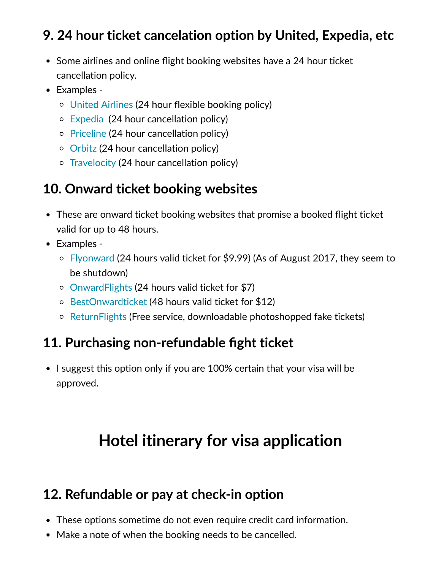#### **9. 24 hour ticket cancelation option by United, Expedia, etc**

- Some airlines and online flight booking websites have a 24 hour ticket cancellation policy.
- Examples -
	- [United Airlines](https://www.united.com/web/en-us/content/reservations/refunds/24-hour-booking-policy.aspx) (24 hour flexible booking policy)
	- [Expedia](https://www.visatraveler.com/out/expedia)  (24 hour cancellation policy)
	- o [Priceline](https://www.priceline.com/home/) (24 hour cancellation policy)
	- [Orbitz](https://www.orbitz.com/) (24 hour cancellation policy)
	- o [Travelocity](https://www.travelocity.com/) (24 hour cancellation policy)

#### **10. Onward ticket booking websites**

- These are onward ticket booking websites that promise a booked flight ticket valid for up to 48 hours.
- Examples -
	- [Flyonward](https://flyonward.com/en/) (24 hours valid ticket for \$9.99) (As of August 2017, they seem to be shutdown)
	- [OnwardFlights](http://www.onwardflights.com/) (24 hours valid ticket for \$7)
	- [BestOnwardticket](https://bestonwardticket.com/) (48 hours valid ticket for \$12)
	- o [ReturnFlights](http://www.returnflights.net/) (Free service, downloadable photoshopped fake tickets)

#### **11. Purchasing non-refundable fight ticket**

• I suggest this option only if you are 100% certain that your visa will be approved.

# **Hotel itinerary for visa application**

#### **12. Refundable or pay at check-in option**

- These options sometime do not even require credit card information.
- Make a note of when the booking needs to be cancelled.